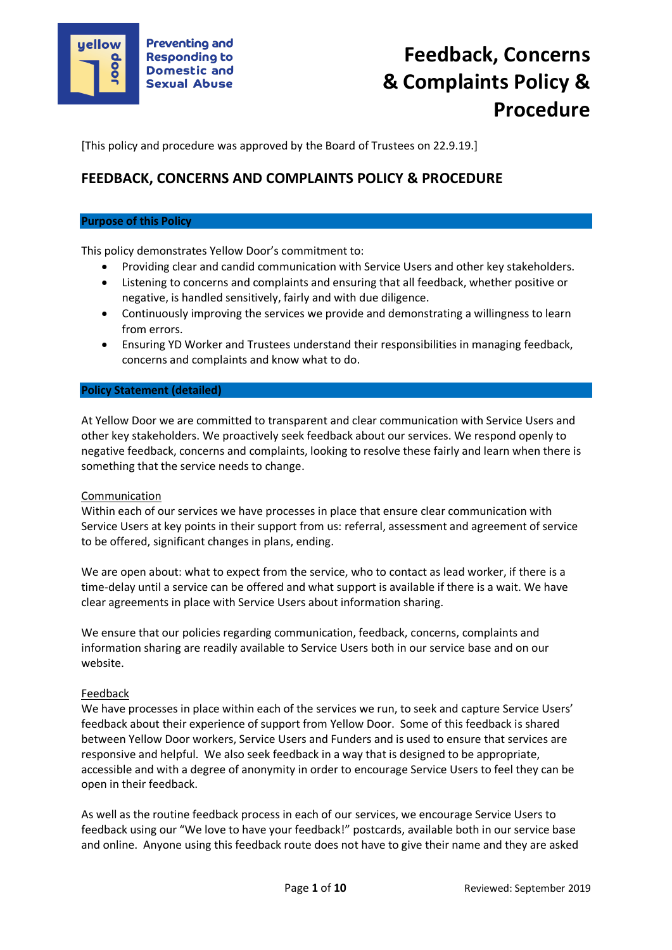

[This policy and procedure was approved by the Board of Trustees on 22.9.19.]

# **FEEDBACK, CONCERNS AND COMPLAINTS POLICY & PROCEDURE**

#### **Purpose of this Policy**

This policy demonstrates Yellow Door's commitment to:

- Providing clear and candid communication with Service Users and other key stakeholders.
- Listening to concerns and complaints and ensuring that all feedback, whether positive or negative, is handled sensitively, fairly and with due diligence.
- Continuously improving the services we provide and demonstrating a willingness to learn from errors.
- Ensuring YD Worker and Trustees understand their responsibilities in managing feedback, concerns and complaints and know what to do.

#### **Policy Statement (detailed)**

At Yellow Door we are committed to transparent and clear communication with Service Users and other key stakeholders. We proactively seek feedback about our services. We respond openly to negative feedback, concerns and complaints, looking to resolve these fairly and learn when there is something that the service needs to change.

#### Communication

Within each of our services we have processes in place that ensure clear communication with Service Users at key points in their support from us: referral, assessment and agreement of service to be offered, significant changes in plans, ending.

We are open about: what to expect from the service, who to contact as lead worker, if there is a time-delay until a service can be offered and what support is available if there is a wait. We have clear agreements in place with Service Users about information sharing.

We ensure that our policies regarding communication, feedback, concerns, complaints and information sharing are readily available to Service Users both in our service base and on our website.

#### **Feedback**

We have processes in place within each of the services we run, to seek and capture Service Users' feedback about their experience of support from Yellow Door. Some of this feedback is shared between Yellow Door workers, Service Users and Funders and is used to ensure that services are responsive and helpful. We also seek feedback in a way that is designed to be appropriate, accessible and with a degree of anonymity in order to encourage Service Users to feel they can be open in their feedback.

As well as the routine feedback process in each of our services, we encourage Service Users to feedback using our "We love to have your feedback!" postcards, available both in our service base and online. Anyone using this feedback route does not have to give their name and they are asked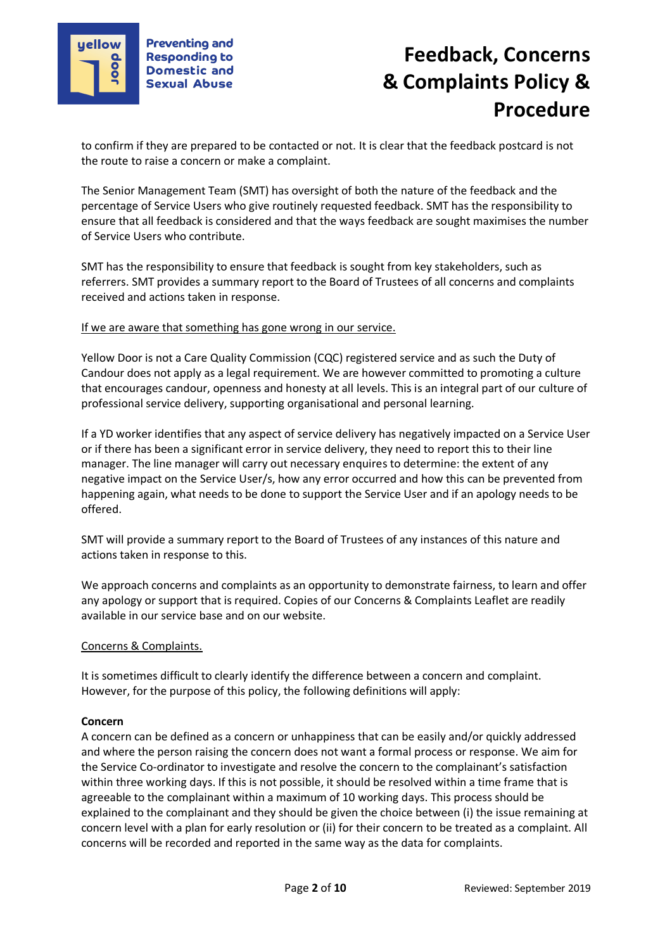

to confirm if they are prepared to be contacted or not. It is clear that the feedback postcard is not the route to raise a concern or make a complaint.

The Senior Management Team (SMT) has oversight of both the nature of the feedback and the percentage of Service Users who give routinely requested feedback. SMT has the responsibility to ensure that all feedback is considered and that the ways feedback are sought maximises the number of Service Users who contribute.

SMT has the responsibility to ensure that feedback is sought from key stakeholders, such as referrers. SMT provides a summary report to the Board of Trustees of all concerns and complaints received and actions taken in response.

### If we are aware that something has gone wrong in our service.

Yellow Door is not a Care Quality Commission (CQC) registered service and as such the Duty of Candour does not apply as a legal requirement. We are however committed to promoting a culture that encourages candour, openness and honesty at all levels. This is an integral part of our culture of professional service delivery, supporting organisational and personal learning.

If a YD worker identifies that any aspect of service delivery has negatively impacted on a Service User or if there has been a significant error in service delivery, they need to report this to their line manager. The line manager will carry out necessary enquires to determine: the extent of any negative impact on the Service User/s, how any error occurred and how this can be prevented from happening again, what needs to be done to support the Service User and if an apology needs to be offered.

SMT will provide a summary report to the Board of Trustees of any instances of this nature and actions taken in response to this.

We approach concerns and complaints as an opportunity to demonstrate fairness, to learn and offer any apology or support that is required. Copies of our Concerns & Complaints Leaflet are readily available in our service base and on our website.

### Concerns & Complaints.

It is sometimes difficult to clearly identify the difference between a concern and complaint. However, for the purpose of this policy, the following definitions will apply:

### **Concern**

A concern can be defined as a concern or unhappiness that can be easily and/or quickly addressed and where the person raising the concern does not want a formal process or response. We aim for the Service Co-ordinator to investigate and resolve the concern to the complainant's satisfaction within three working days. If this is not possible, it should be resolved within a time frame that is agreeable to the complainant within a maximum of 10 working days. This process should be explained to the complainant and they should be given the choice between (i) the issue remaining at concern level with a plan for early resolution or (ii) for their concern to be treated as a complaint. All concerns will be recorded and reported in the same way as the data for complaints.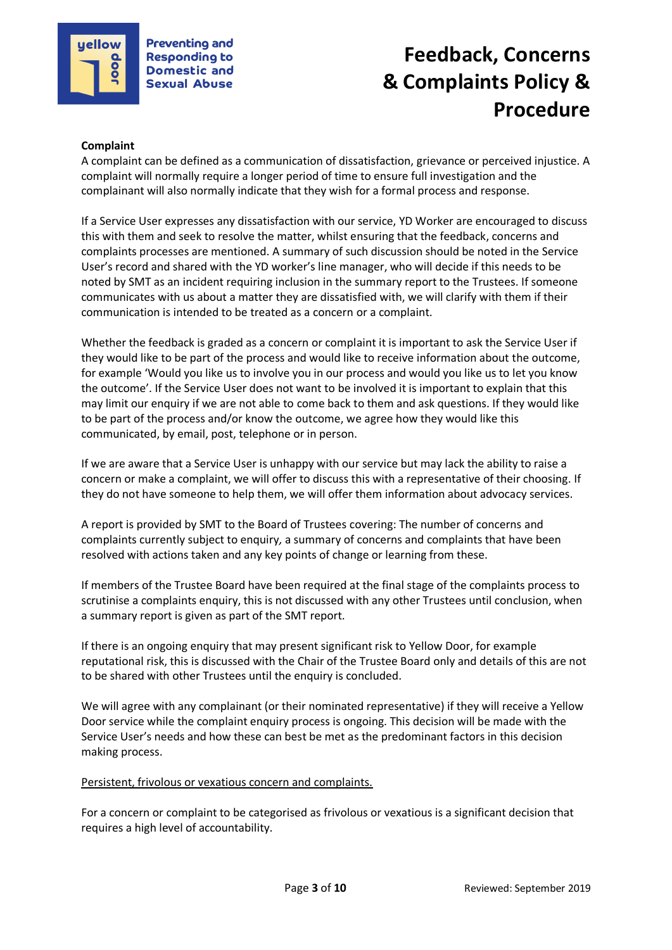

## **Complaint**

A complaint can be defined as a communication of dissatisfaction, grievance or perceived injustice. A complaint will normally require a longer period of time to ensure full investigation and the complainant will also normally indicate that they wish for a formal process and response.

If a Service User expresses any dissatisfaction with our service, YD Worker are encouraged to discuss this with them and seek to resolve the matter, whilst ensuring that the feedback, concerns and complaints processes are mentioned. A summary of such discussion should be noted in the Service User's record and shared with the YD worker's line manager, who will decide if this needs to be noted by SMT as an incident requiring inclusion in the summary report to the Trustees. If someone communicates with us about a matter they are dissatisfied with, we will clarify with them if their communication is intended to be treated as a concern or a complaint.

Whether the feedback is graded as a concern or complaint it is important to ask the Service User if they would like to be part of the process and would like to receive information about the outcome, for example 'Would you like us to involve you in our process and would you like us to let you know the outcome'. If the Service User does not want to be involved it is important to explain that this may limit our enquiry if we are not able to come back to them and ask questions. If they would like to be part of the process and/or know the outcome, we agree how they would like this communicated, by email, post, telephone or in person.

If we are aware that a Service User is unhappy with our service but may lack the ability to raise a concern or make a complaint, we will offer to discuss this with a representative of their choosing. If they do not have someone to help them, we will offer them information about advocacy services.

A report is provided by SMT to the Board of Trustees covering: The number of concerns and complaints currently subject to enquiry*,* a summary of concerns and complaints that have been resolved with actions taken and any key points of change or learning from these.

If members of the Trustee Board have been required at the final stage of the complaints process to scrutinise a complaints enquiry, this is not discussed with any other Trustees until conclusion, when a summary report is given as part of the SMT report.

If there is an ongoing enquiry that may present significant risk to Yellow Door, for example reputational risk, this is discussed with the Chair of the Trustee Board only and details of this are not to be shared with other Trustees until the enquiry is concluded.

We will agree with any complainant (or their nominated representative) if they will receive a Yellow Door service while the complaint enquiry process is ongoing. This decision will be made with the Service User's needs and how these can best be met as the predominant factors in this decision making process.

### Persistent, frivolous or vexatious concern and complaints.

For a concern or complaint to be categorised as frivolous or vexatious is a significant decision that requires a high level of accountability.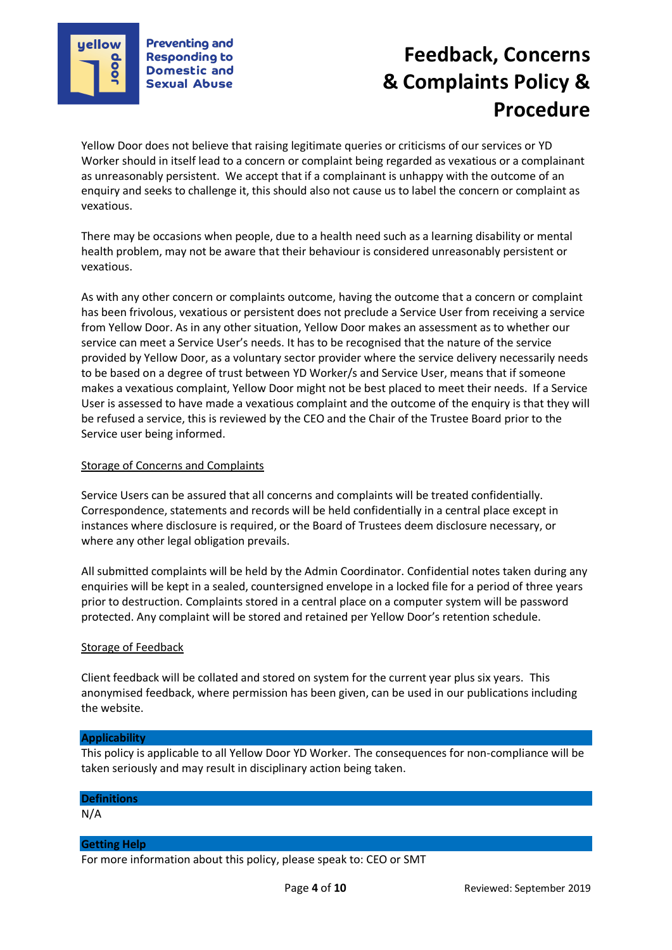

Yellow Door does not believe that raising legitimate queries or criticisms of our services or YD Worker should in itself lead to a concern or complaint being regarded as vexatious or a complainant as unreasonably persistent. We accept that if a complainant is unhappy with the outcome of an enquiry and seeks to challenge it, this should also not cause us to label the concern or complaint as vexatious.

There may be occasions when people, due to a health need such as a learning disability or mental health problem, may not be aware that their behaviour is considered unreasonably persistent or vexatious.

As with any other concern or complaints outcome, having the outcome that a concern or complaint has been frivolous, vexatious or persistent does not preclude a Service User from receiving a service from Yellow Door. As in any other situation, Yellow Door makes an assessment as to whether our service can meet a Service User's needs. It has to be recognised that the nature of the service provided by Yellow Door, as a voluntary sector provider where the service delivery necessarily needs to be based on a degree of trust between YD Worker/s and Service User, means that if someone makes a vexatious complaint, Yellow Door might not be best placed to meet their needs. If a Service User is assessed to have made a vexatious complaint and the outcome of the enquiry is that they will be refused a service, this is reviewed by the CEO and the Chair of the Trustee Board prior to the Service user being informed.

## Storage of Concerns and Complaints

Service Users can be assured that all concerns and complaints will be treated confidentially. Correspondence, statements and records will be held confidentially in a central place except in instances where disclosure is required, or the Board of Trustees deem disclosure necessary, or where any other legal obligation prevails.

All submitted complaints will be held by the Admin Coordinator. Confidential notes taken during any enquiries will be kept in a sealed, countersigned envelope in a locked file for a period of three years prior to destruction. Complaints stored in a central place on a computer system will be password protected. Any complaint will be stored and retained per Yellow Door's retention schedule.

### Storage of Feedback

Client feedback will be collated and stored on system for the current year plus six years. This anonymised feedback, where permission has been given, can be used in our publications including the website.

#### **Applicability**

This policy is applicable to all Yellow Door YD Worker. The consequences for non-compliance will be taken seriously and may result in disciplinary action being taken.

### **Definitions**

N/A

### **Getting Help**

For more information about this policy, please speak to: CEO or SMT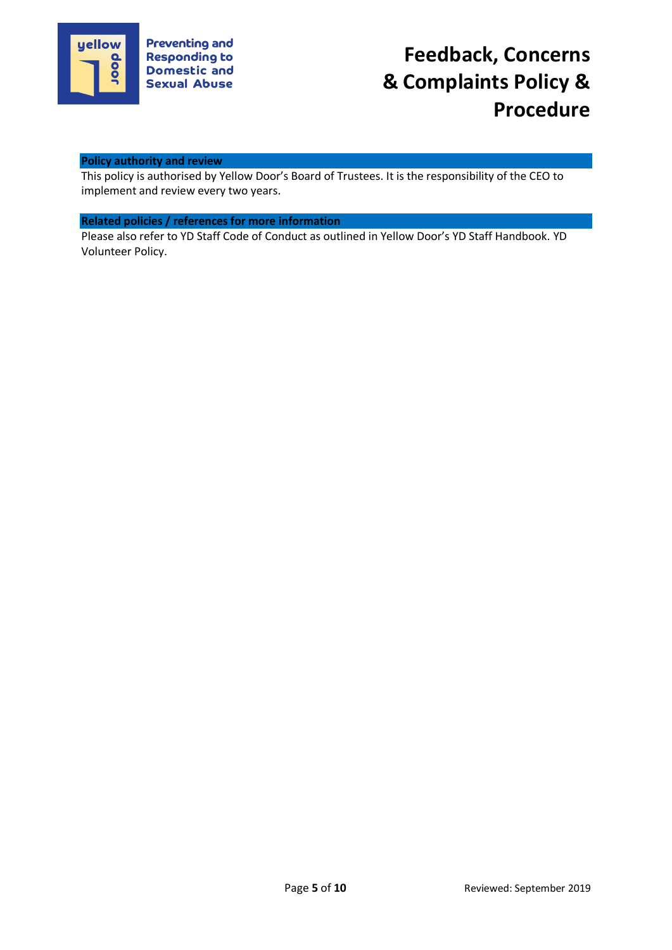

### **Policy authority and review**

This policy is authorised by Yellow Door's Board of Trustees. It is the responsibility of the CEO to implement and review every two years.

# **Related policies / references for more information**

Please also refer to YD Staff Code of Conduct as outlined in Yellow Door's YD Staff Handbook. YD Volunteer Policy.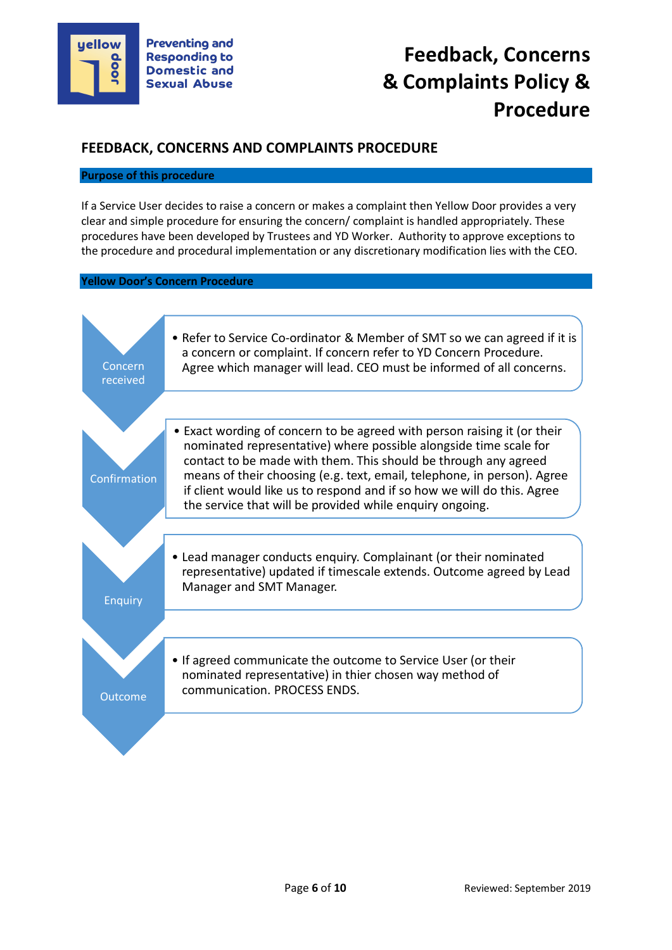

# **FEEDBACK, CONCERNS AND COMPLAINTS PROCEDURE**

#### **Purpose of this procedure**

If a Service User decides to raise a concern or makes a complaint then Yellow Door provides a very clear and simple procedure for ensuring the concern/ complaint is handled appropriately. These procedures have been developed by Trustees and YD Worker. Authority to approve exceptions to the procedure and procedural implementation or any discretionary modification lies with the CEO.

#### **Yellow Door's Concern Procedure**

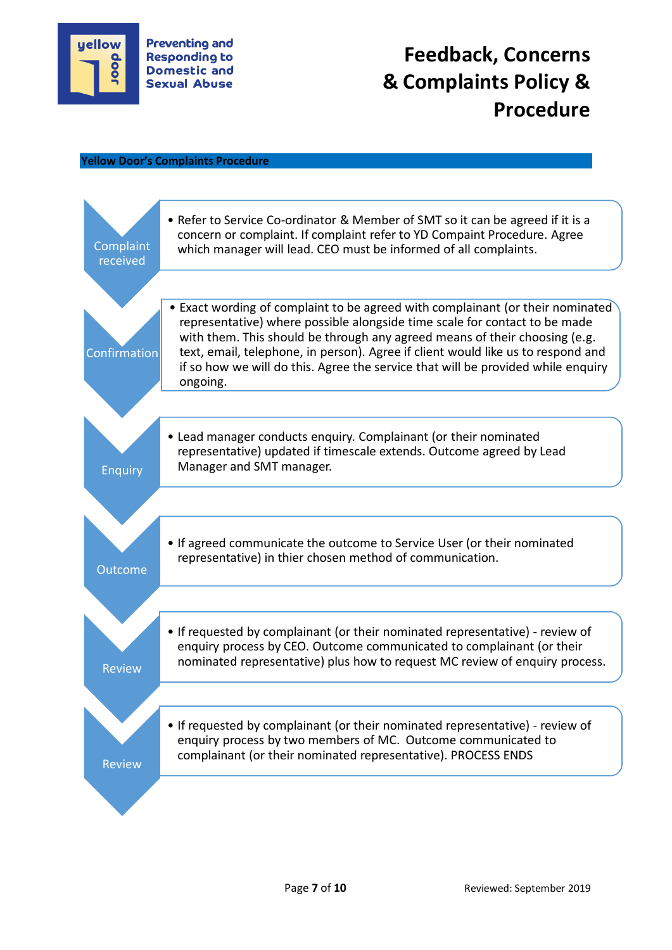

#### **Yellow Door's Complaints Procedure**

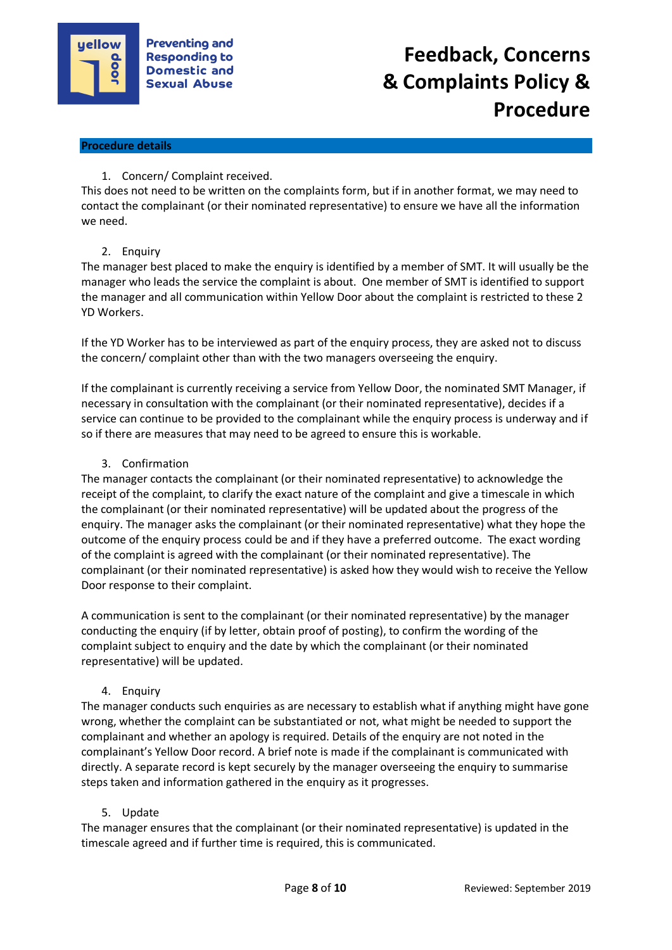

## **Procedure details**

# 1. Concern/ Complaint received.

This does not need to be written on the complaints form, but if in another format, we may need to contact the complainant (or their nominated representative) to ensure we have all the information we need.

# 2. Enquiry

The manager best placed to make the enquiry is identified by a member of SMT. It will usually be the manager who leads the service the complaint is about. One member of SMT is identified to support the manager and all communication within Yellow Door about the complaint is restricted to these 2 YD Workers.

If the YD Worker has to be interviewed as part of the enquiry process, they are asked not to discuss the concern/ complaint other than with the two managers overseeing the enquiry.

If the complainant is currently receiving a service from Yellow Door, the nominated SMT Manager, if necessary in consultation with the complainant (or their nominated representative), decides if a service can continue to be provided to the complainant while the enquiry process is underway and if so if there are measures that may need to be agreed to ensure this is workable.

## 3. Confirmation

The manager contacts the complainant (or their nominated representative) to acknowledge the receipt of the complaint, to clarify the exact nature of the complaint and give a timescale in which the complainant (or their nominated representative) will be updated about the progress of the enquiry. The manager asks the complainant (or their nominated representative) what they hope the outcome of the enquiry process could be and if they have a preferred outcome. The exact wording of the complaint is agreed with the complainant (or their nominated representative). The complainant (or their nominated representative) is asked how they would wish to receive the Yellow Door response to their complaint.

A communication is sent to the complainant (or their nominated representative) by the manager conducting the enquiry (if by letter, obtain proof of posting), to confirm the wording of the complaint subject to enquiry and the date by which the complainant (or their nominated representative) will be updated.

# 4. Enquiry

The manager conducts such enquiries as are necessary to establish what if anything might have gone wrong, whether the complaint can be substantiated or not, what might be needed to support the complainant and whether an apology is required. Details of the enquiry are not noted in the complainant's Yellow Door record. A brief note is made if the complainant is communicated with directly. A separate record is kept securely by the manager overseeing the enquiry to summarise steps taken and information gathered in the enquiry as it progresses.

# 5. Update

The manager ensures that the complainant (or their nominated representative) is updated in the timescale agreed and if further time is required, this is communicated.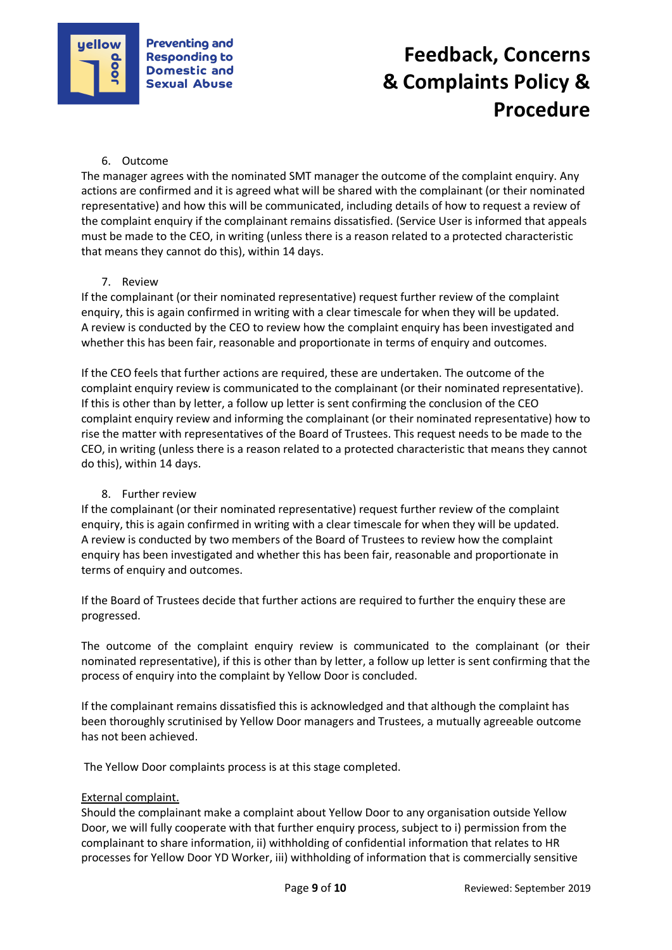

# 6. Outcome

The manager agrees with the nominated SMT manager the outcome of the complaint enquiry. Any actions are confirmed and it is agreed what will be shared with the complainant (or their nominated representative) and how this will be communicated, including details of how to request a review of the complaint enquiry if the complainant remains dissatisfied. (Service User is informed that appeals must be made to the CEO, in writing (unless there is a reason related to a protected characteristic that means they cannot do this), within 14 days.

## 7. Review

If the complainant (or their nominated representative) request further review of the complaint enquiry, this is again confirmed in writing with a clear timescale for when they will be updated. A review is conducted by the CEO to review how the complaint enquiry has been investigated and whether this has been fair, reasonable and proportionate in terms of enquiry and outcomes.

If the CEO feels that further actions are required, these are undertaken. The outcome of the complaint enquiry review is communicated to the complainant (or their nominated representative). If this is other than by letter, a follow up letter is sent confirming the conclusion of the CEO complaint enquiry review and informing the complainant (or their nominated representative) how to rise the matter with representatives of the Board of Trustees. This request needs to be made to the CEO, in writing (unless there is a reason related to a protected characteristic that means they cannot do this), within 14 days.

# 8. Further review

If the complainant (or their nominated representative) request further review of the complaint enquiry, this is again confirmed in writing with a clear timescale for when they will be updated. A review is conducted by two members of the Board of Trustees to review how the complaint enquiry has been investigated and whether this has been fair, reasonable and proportionate in terms of enquiry and outcomes.

If the Board of Trustees decide that further actions are required to further the enquiry these are progressed.

The outcome of the complaint enquiry review is communicated to the complainant (or their nominated representative), if this is other than by letter, a follow up letter is sent confirming that the process of enquiry into the complaint by Yellow Door is concluded.

If the complainant remains dissatisfied this is acknowledged and that although the complaint has been thoroughly scrutinised by Yellow Door managers and Trustees, a mutually agreeable outcome has not been achieved.

The Yellow Door complaints process is at this stage completed.

# External complaint.

Should the complainant make a complaint about Yellow Door to any organisation outside Yellow Door, we will fully cooperate with that further enquiry process, subject to i) permission from the complainant to share information, ii) withholding of confidential information that relates to HR processes for Yellow Door YD Worker, iii) withholding of information that is commercially sensitive